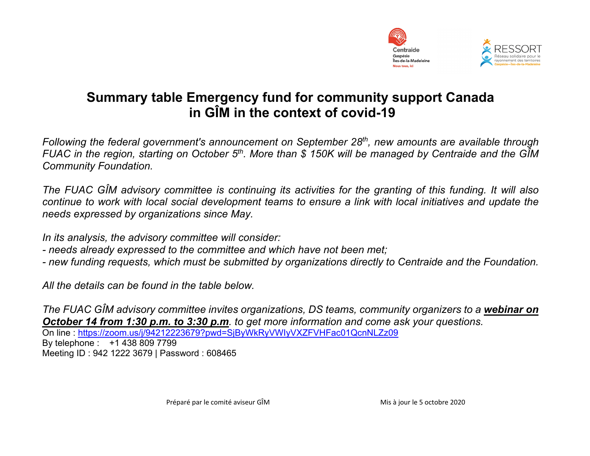

## **Summary table Emergency fund for community support Canada in GÎM in the context of covid-19**

*Following the federal government's announcement on September 28th, new amounts are available through FUAC in the region, starting on October 5th. More than \$ 150K will be managed by Centraide and the GÎM Community Foundation.*

*The FUAC GÎM advisory committee is continuing its activities for the granting of this funding. It will also continue to work with local social development teams to ensure a link with local initiatives and update the needs expressed by organizations since May.*

*In its analysis, the advisory committee will consider:*

- *- needs already expressed to the committee and which have not been met;*
- *- new funding requests, which must be submitted by organizations directly to Centraide and the Foundation.*

*All the details can be found in the table below.*

*The FUAC GÎM advisory committee invites organizations, DS teams, community organizers to a webinar on October 14 from 1:30 p.m. to 3:30 p.m. to get more information and come ask your questions.* On line : [https://zoom.us/j/94212223679?pwd=SjByWkRyVWIyVXZFVHFac01QcnNLZz09](about:blank) By telephone : +1 438 809 7799 Meeting ID : 942 1222 3679 | Password : 608465

Préparé par le comité aviseur GÎM Mis à jour le 5 octobre 2020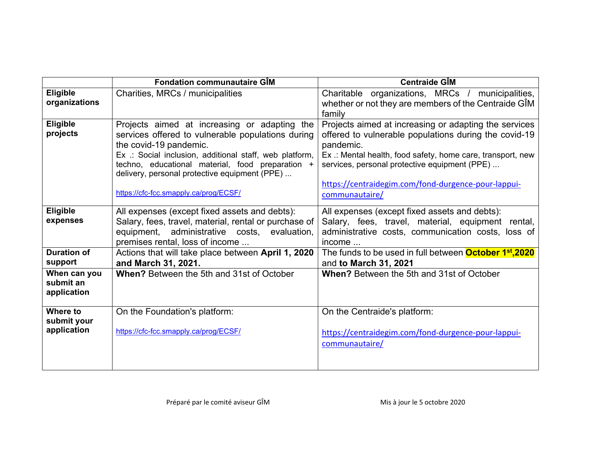|                                          | <b>Fondation communautaire GIM</b>                                                                                                                                                                                                                                                                                                   | <b>Centraide GIM</b>                                                                                                                                                                                                                                                                                                 |
|------------------------------------------|--------------------------------------------------------------------------------------------------------------------------------------------------------------------------------------------------------------------------------------------------------------------------------------------------------------------------------------|----------------------------------------------------------------------------------------------------------------------------------------------------------------------------------------------------------------------------------------------------------------------------------------------------------------------|
| <b>Eligible</b>                          | Charities, MRCs / municipalities                                                                                                                                                                                                                                                                                                     | Charitable organizations, MRCs / municipalities,                                                                                                                                                                                                                                                                     |
| organizations                            |                                                                                                                                                                                                                                                                                                                                      | whether or not they are members of the Centraide GIM<br>family                                                                                                                                                                                                                                                       |
| Eligible<br>projects                     | Projects aimed at increasing or adapting the<br>services offered to vulnerable populations during<br>the covid-19 pandemic.<br>Ex .: Social inclusion, additional staff, web platform,<br>techno, educational material, food preparation +<br>delivery, personal protective equipment (PPE)<br>https://cfc-fcc.smapply.ca/prog/ECSF/ | Projects aimed at increasing or adapting the services<br>offered to vulnerable populations during the covid-19<br>pandemic.<br>Ex .: Mental health, food safety, home care, transport, new<br>services, personal protective equipment (PPE)<br>https://centraidegim.com/fond-durgence-pour-lappui-<br>communautaire/ |
| <b>Eligible</b><br>expenses              | All expenses (except fixed assets and debts):<br>Salary, fees, travel, material, rental or purchase of<br>equipment, administrative costs, evaluation,<br>premises rental, loss of income                                                                                                                                            | All expenses (except fixed assets and debts):<br>Salary, fees, travel, material, equipment rental,<br>administrative costs, communication costs, loss of<br>income                                                                                                                                                   |
| <b>Duration of</b><br>support            | Actions that will take place between April 1, 2020<br>and March 31, 2021.                                                                                                                                                                                                                                                            | The funds to be used in full between <b>October 1st,2020</b><br>and to March 31, 2021                                                                                                                                                                                                                                |
| When can you<br>submit an<br>application | When? Between the 5th and 31st of October                                                                                                                                                                                                                                                                                            | <b>When?</b> Between the 5th and 31st of October                                                                                                                                                                                                                                                                     |
| Where to<br>submit your                  | On the Foundation's platform:                                                                                                                                                                                                                                                                                                        | On the Centraide's platform:                                                                                                                                                                                                                                                                                         |
| application                              | https://cfc-fcc.smapply.ca/prog/ECSF/                                                                                                                                                                                                                                                                                                | https://centraidegim.com/fond-durgence-pour-lappui-<br>communautaire/                                                                                                                                                                                                                                                |
|                                          |                                                                                                                                                                                                                                                                                                                                      |                                                                                                                                                                                                                                                                                                                      |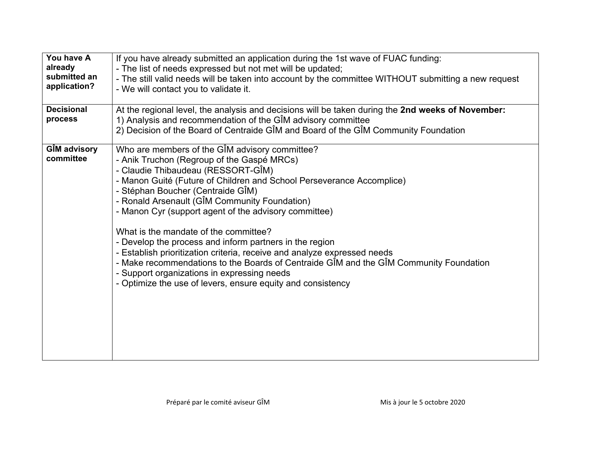| You have A<br>already<br>submitted an<br>application?<br><b>Decisional</b><br>process | If you have already submitted an application during the 1st wave of FUAC funding:<br>- The list of needs expressed but not met will be updated;<br>- The still valid needs will be taken into account by the committee WITHOUT submitting a new request<br>- We will contact you to validate it.<br>At the regional level, the analysis and decisions will be taken during the 2nd weeks of November:<br>1) Analysis and recommendation of the GIM advisory committee                                                                                                                                                                                                                                                                              |  |
|---------------------------------------------------------------------------------------|----------------------------------------------------------------------------------------------------------------------------------------------------------------------------------------------------------------------------------------------------------------------------------------------------------------------------------------------------------------------------------------------------------------------------------------------------------------------------------------------------------------------------------------------------------------------------------------------------------------------------------------------------------------------------------------------------------------------------------------------------|--|
|                                                                                       | 2) Decision of the Board of Centraide GIM and Board of the GIM Community Foundation                                                                                                                                                                                                                                                                                                                                                                                                                                                                                                                                                                                                                                                                |  |
| <b>GIM advisory</b><br>committee                                                      | Who are members of the GIM advisory committee?<br>- Anik Truchon (Regroup of the Gaspé MRCs)<br>- Claudie Thibaudeau (RESSORT-GÎM)<br>- Manon Guité (Future of Children and School Perseverance Accomplice)<br>- Stéphan Boucher (Centraide GÎM)<br>- Ronald Arsenault (GIM Community Foundation)<br>- Manon Cyr (support agent of the advisory committee)<br>What is the mandate of the committee?<br>- Develop the process and inform partners in the region<br>- Establish prioritization criteria, receive and analyze expressed needs<br>- Make recommendations to the Boards of Centraide GIM and the GIM Community Foundation<br>- Support organizations in expressing needs<br>- Optimize the use of levers, ensure equity and consistency |  |